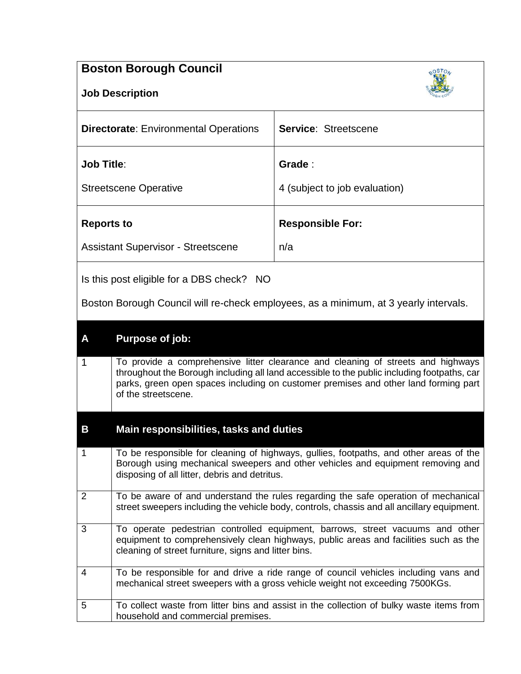## **Boston Borough Council**



| <b>Directorate:</b> Environmental Operations | <b>Service: Streetscene</b>   |
|----------------------------------------------|-------------------------------|
| <b>Job Title:</b>                            | Grade:                        |
| <b>Streetscene Operative</b>                 | 4 (subject to job evaluation) |
| <b>Reports to</b>                            | <b>Responsible For:</b>       |
| <b>Assistant Supervisor - Streetscene</b>    | n/a                           |

Is this post eligible for a DBS check? NO

Boston Borough Council will re-check employees, as a minimum, at 3 yearly intervals.

## **A Purpose of job:**

1 To provide a comprehensive litter clearance and cleaning of streets and highways throughout the Borough including all land accessible to the public including footpaths, car parks, green open spaces including on customer premises and other land forming part of the streetscene.

## **B Main responsibilities, tasks and duties**

| 1              | To be responsible for cleaning of highways, gullies, footpaths, and other areas of the<br>Borough using mechanical sweepers and other vehicles and equipment removing and<br>disposing of all litter, debris and detritus.    |
|----------------|-------------------------------------------------------------------------------------------------------------------------------------------------------------------------------------------------------------------------------|
| 2              | To be aware of and understand the rules regarding the safe operation of mechanical<br>street sweepers including the vehicle body, controls, chassis and all ancillary equipment.                                              |
| $\mathbf{3}$   | To operate pedestrian controlled equipment, barrows, street vacuums and other<br>equipment to comprehensively clean highways, public areas and facilities such as the<br>cleaning of street furniture, signs and litter bins. |
| $\overline{4}$ | To be responsible for and drive a ride range of council vehicles including vans and<br>mechanical street sweepers with a gross vehicle weight not exceeding 7500KGs.                                                          |
| 5              | To collect waste from litter bins and assist in the collection of bulky waste items from<br>household and commercial premises.                                                                                                |

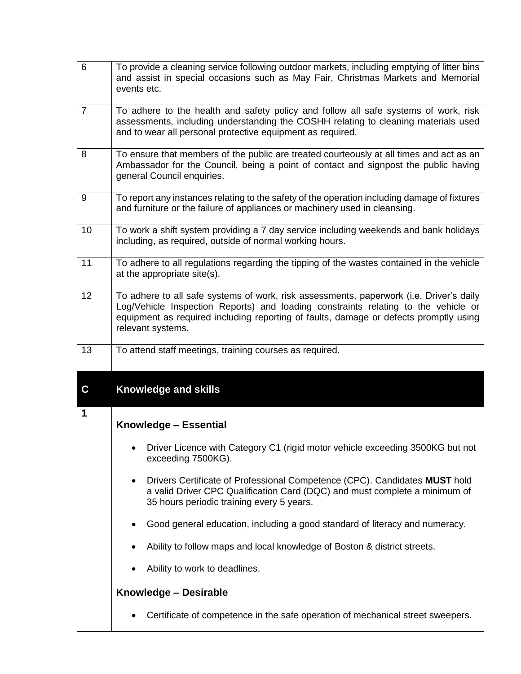| $6\phantom{1}$ | To provide a cleaning service following outdoor markets, including emptying of litter bins<br>and assist in special occasions such as May Fair, Christmas Markets and Memorial<br>events etc.                                                                                               |  |  |  |
|----------------|---------------------------------------------------------------------------------------------------------------------------------------------------------------------------------------------------------------------------------------------------------------------------------------------|--|--|--|
| $\overline{7}$ | To adhere to the health and safety policy and follow all safe systems of work, risk<br>assessments, including understanding the COSHH relating to cleaning materials used<br>and to wear all personal protective equipment as required.                                                     |  |  |  |
| 8              | To ensure that members of the public are treated courteously at all times and act as an<br>Ambassador for the Council, being a point of contact and signpost the public having<br>general Council enquiries.                                                                                |  |  |  |
| 9              | To report any instances relating to the safety of the operation including damage of fixtures<br>and furniture or the failure of appliances or machinery used in cleansing.                                                                                                                  |  |  |  |
| 10             | To work a shift system providing a 7 day service including weekends and bank holidays<br>including, as required, outside of normal working hours.                                                                                                                                           |  |  |  |
| 11             | To adhere to all regulations regarding the tipping of the wastes contained in the vehicle<br>at the appropriate site(s).                                                                                                                                                                    |  |  |  |
| 12             | To adhere to all safe systems of work, risk assessments, paperwork (i.e. Driver's daily<br>Log/Vehicle Inspection Reports) and loading constraints relating to the vehicle or<br>equipment as required including reporting of faults, damage or defects promptly using<br>relevant systems. |  |  |  |
| 13             | To attend staff meetings, training courses as required.                                                                                                                                                                                                                                     |  |  |  |
| C              | Knowledge and skills                                                                                                                                                                                                                                                                        |  |  |  |
| 1              | Knowledge - Essential                                                                                                                                                                                                                                                                       |  |  |  |
|                | Driver Licence with Category C1 (rigid motor vehicle exceeding 3500KG but not<br>exceeding 7500KG).                                                                                                                                                                                         |  |  |  |
|                | Drivers Certificate of Professional Competence (CPC). Candidates MUST hold<br>٠<br>a valid Driver CPC Qualification Card (DQC) and must complete a minimum of<br>35 hours periodic training every 5 years.                                                                                  |  |  |  |
|                | Good general education, including a good standard of literacy and numeracy.                                                                                                                                                                                                                 |  |  |  |
|                | Ability to follow maps and local knowledge of Boston & district streets.                                                                                                                                                                                                                    |  |  |  |
|                | Ability to work to deadlines.                                                                                                                                                                                                                                                               |  |  |  |
|                | Knowledge - Desirable                                                                                                                                                                                                                                                                       |  |  |  |
|                | Certificate of competence in the safe operation of mechanical street sweepers.                                                                                                                                                                                                              |  |  |  |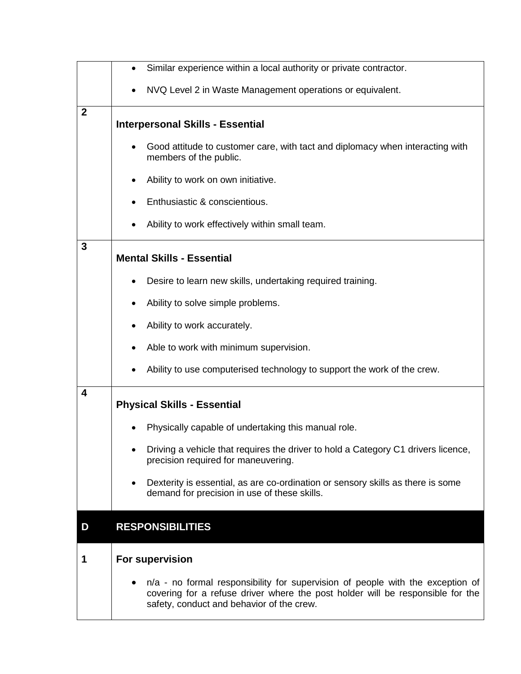|                         | Similar experience within a local authority or private contractor.<br>$\bullet$                                                                                                                               |  |  |  |
|-------------------------|---------------------------------------------------------------------------------------------------------------------------------------------------------------------------------------------------------------|--|--|--|
|                         | NVQ Level 2 in Waste Management operations or equivalent.                                                                                                                                                     |  |  |  |
| $\boldsymbol{2}$        | <b>Interpersonal Skills - Essential</b>                                                                                                                                                                       |  |  |  |
|                         | Good attitude to customer care, with tact and diplomacy when interacting with<br>members of the public.                                                                                                       |  |  |  |
|                         | Ability to work on own initiative.                                                                                                                                                                            |  |  |  |
|                         | Enthusiastic & conscientious.                                                                                                                                                                                 |  |  |  |
|                         | Ability to work effectively within small team.                                                                                                                                                                |  |  |  |
| 3                       | <b>Mental Skills - Essential</b>                                                                                                                                                                              |  |  |  |
|                         | Desire to learn new skills, undertaking required training.                                                                                                                                                    |  |  |  |
|                         | Ability to solve simple problems.                                                                                                                                                                             |  |  |  |
|                         | Ability to work accurately.                                                                                                                                                                                   |  |  |  |
|                         | Able to work with minimum supervision.                                                                                                                                                                        |  |  |  |
|                         | Ability to use computerised technology to support the work of the crew.                                                                                                                                       |  |  |  |
| $\overline{\mathbf{4}}$ | <b>Physical Skills - Essential</b>                                                                                                                                                                            |  |  |  |
|                         | Physically capable of undertaking this manual role.                                                                                                                                                           |  |  |  |
|                         | Driving a vehicle that requires the driver to hold a Category C1 drivers licence,<br>precision required for maneuvering.                                                                                      |  |  |  |
|                         | Dexterity is essential, as are co-ordination or sensory skills as there is some<br>demand for precision in use of these skills.                                                                               |  |  |  |
| D                       | <b>RESPONSIBILITIES</b>                                                                                                                                                                                       |  |  |  |
| 1                       | For supervision                                                                                                                                                                                               |  |  |  |
|                         | n/a - no formal responsibility for supervision of people with the exception of<br>covering for a refuse driver where the post holder will be responsible for the<br>safety, conduct and behavior of the crew. |  |  |  |

L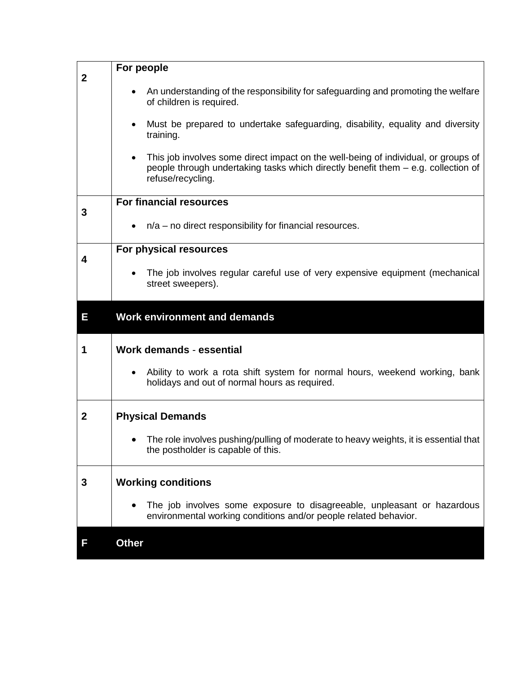| $\mathbf 2$ | For people                                                                                                                                                                                   |  |  |  |
|-------------|----------------------------------------------------------------------------------------------------------------------------------------------------------------------------------------------|--|--|--|
|             | An understanding of the responsibility for safeguarding and promoting the welfare<br>of children is required.                                                                                |  |  |  |
|             | Must be prepared to undertake safeguarding, disability, equality and diversity<br>$\bullet$<br>training.                                                                                     |  |  |  |
|             | This job involves some direct impact on the well-being of individual, or groups of<br>people through undertaking tasks which directly benefit them – e.g. collection of<br>refuse/recycling. |  |  |  |
| 3           | <b>For financial resources</b>                                                                                                                                                               |  |  |  |
|             | $n/a$ – no direct responsibility for financial resources.<br>$\bullet$                                                                                                                       |  |  |  |
| 4           | For physical resources                                                                                                                                                                       |  |  |  |
|             | The job involves regular careful use of very expensive equipment (mechanical<br>street sweepers).                                                                                            |  |  |  |
| Ε           | <b>Work environment and demands</b>                                                                                                                                                          |  |  |  |
| 1           | <b>Work demands - essential</b>                                                                                                                                                              |  |  |  |
|             | Ability to work a rota shift system for normal hours, weekend working, bank<br>holidays and out of normal hours as required.                                                                 |  |  |  |
| $\mathbf 2$ | <b>Physical Demands</b>                                                                                                                                                                      |  |  |  |
|             | The role involves pushing/pulling of moderate to heavy weights, it is essential that<br>the postholder is capable of this.                                                                   |  |  |  |
| 3           | <b>Working conditions</b>                                                                                                                                                                    |  |  |  |
|             | The job involves some exposure to disagreeable, unpleasant or hazardous<br>environmental working conditions and/or people related behavior.                                                  |  |  |  |
| F           | <b>Other</b>                                                                                                                                                                                 |  |  |  |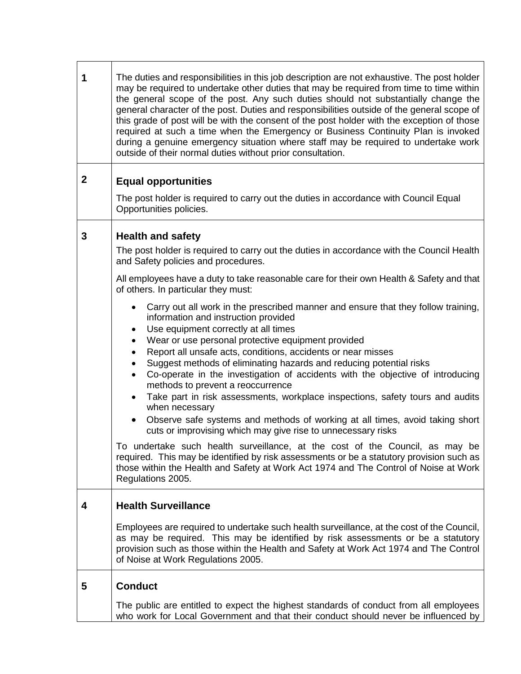| 1                | The duties and responsibilities in this job description are not exhaustive. The post holder<br>may be required to undertake other duties that may be required from time to time within<br>the general scope of the post. Any such duties should not substantially change the<br>general character of the post. Duties and responsibilities outside of the general scope of<br>this grade of post will be with the consent of the post holder with the exception of those<br>required at such a time when the Emergency or Business Continuity Plan is invoked<br>during a genuine emergency situation where staff may be required to undertake work<br>outside of their normal duties without prior consultation.                                                                                                                                                                                                                                                                                                                                                                                                                 |  |  |
|------------------|-----------------------------------------------------------------------------------------------------------------------------------------------------------------------------------------------------------------------------------------------------------------------------------------------------------------------------------------------------------------------------------------------------------------------------------------------------------------------------------------------------------------------------------------------------------------------------------------------------------------------------------------------------------------------------------------------------------------------------------------------------------------------------------------------------------------------------------------------------------------------------------------------------------------------------------------------------------------------------------------------------------------------------------------------------------------------------------------------------------------------------------|--|--|
| $\boldsymbol{2}$ | <b>Equal opportunities</b>                                                                                                                                                                                                                                                                                                                                                                                                                                                                                                                                                                                                                                                                                                                                                                                                                                                                                                                                                                                                                                                                                                        |  |  |
|                  | The post holder is required to carry out the duties in accordance with Council Equal<br>Opportunities policies.                                                                                                                                                                                                                                                                                                                                                                                                                                                                                                                                                                                                                                                                                                                                                                                                                                                                                                                                                                                                                   |  |  |
| 3                | <b>Health and safety</b>                                                                                                                                                                                                                                                                                                                                                                                                                                                                                                                                                                                                                                                                                                                                                                                                                                                                                                                                                                                                                                                                                                          |  |  |
|                  | The post holder is required to carry out the duties in accordance with the Council Health<br>and Safety policies and procedures.                                                                                                                                                                                                                                                                                                                                                                                                                                                                                                                                                                                                                                                                                                                                                                                                                                                                                                                                                                                                  |  |  |
|                  | All employees have a duty to take reasonable care for their own Health & Safety and that<br>of others. In particular they must:                                                                                                                                                                                                                                                                                                                                                                                                                                                                                                                                                                                                                                                                                                                                                                                                                                                                                                                                                                                                   |  |  |
|                  | Carry out all work in the prescribed manner and ensure that they follow training,<br>٠<br>information and instruction provided<br>Use equipment correctly at all times<br>$\bullet$<br>Wear or use personal protective equipment provided<br>$\bullet$<br>Report all unsafe acts, conditions, accidents or near misses<br>$\bullet$<br>Suggest methods of eliminating hazards and reducing potential risks<br>$\bullet$<br>Co-operate in the investigation of accidents with the objective of introducing<br>$\bullet$<br>methods to prevent a reoccurrence<br>Take part in risk assessments, workplace inspections, safety tours and audits<br>$\bullet$<br>when necessary<br>Observe safe systems and methods of working at all times, avoid taking short<br>$\bullet$<br>cuts or improvising which may give rise to unnecessary risks<br>To undertake such health surveillance, at the cost of the Council, as may be<br>required. This may be identified by risk assessments or be a statutory provision such as<br>those within the Health and Safety at Work Act 1974 and The Control of Noise at Work<br>Regulations 2005. |  |  |
| 4                | <b>Health Surveillance</b>                                                                                                                                                                                                                                                                                                                                                                                                                                                                                                                                                                                                                                                                                                                                                                                                                                                                                                                                                                                                                                                                                                        |  |  |
|                  | Employees are required to undertake such health surveillance, at the cost of the Council,<br>as may be required. This may be identified by risk assessments or be a statutory<br>provision such as those within the Health and Safety at Work Act 1974 and The Control<br>of Noise at Work Regulations 2005.                                                                                                                                                                                                                                                                                                                                                                                                                                                                                                                                                                                                                                                                                                                                                                                                                      |  |  |
| 5                | <b>Conduct</b>                                                                                                                                                                                                                                                                                                                                                                                                                                                                                                                                                                                                                                                                                                                                                                                                                                                                                                                                                                                                                                                                                                                    |  |  |
|                  | The public are entitled to expect the highest standards of conduct from all employees<br>who work for Local Government and that their conduct should never be influenced by                                                                                                                                                                                                                                                                                                                                                                                                                                                                                                                                                                                                                                                                                                                                                                                                                                                                                                                                                       |  |  |

┱

٦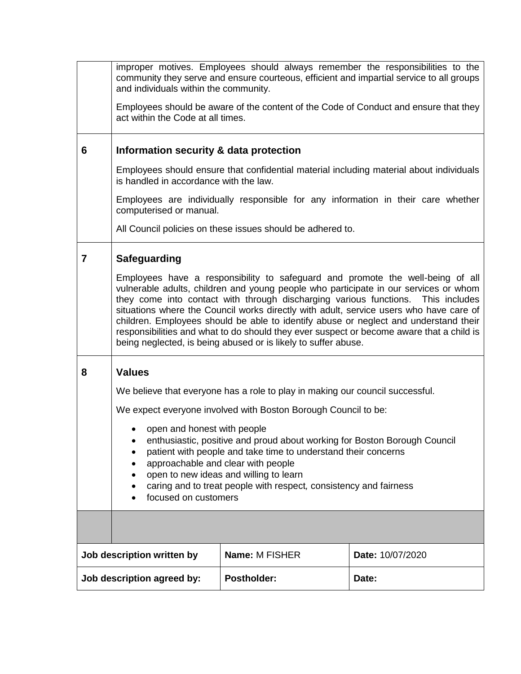|                | improper motives. Employees should always remember the responsibilities to the<br>community they serve and ensure courteous, efficient and impartial service to all groups<br>and individuals within the community.<br>Employees should be aware of the content of the Code of Conduct and ensure that they<br>act within the Code at all times.                                                                                                                                                                                                                                                           |                                                                                  |  |  |  |
|----------------|------------------------------------------------------------------------------------------------------------------------------------------------------------------------------------------------------------------------------------------------------------------------------------------------------------------------------------------------------------------------------------------------------------------------------------------------------------------------------------------------------------------------------------------------------------------------------------------------------------|----------------------------------------------------------------------------------|--|--|--|
| 6              | Information security & data protection                                                                                                                                                                                                                                                                                                                                                                                                                                                                                                                                                                     |                                                                                  |  |  |  |
|                | Employees should ensure that confidential material including material about individuals<br>is handled in accordance with the law.                                                                                                                                                                                                                                                                                                                                                                                                                                                                          |                                                                                  |  |  |  |
|                | computerised or manual.                                                                                                                                                                                                                                                                                                                                                                                                                                                                                                                                                                                    | Employees are individually responsible for any information in their care whether |  |  |  |
|                |                                                                                                                                                                                                                                                                                                                                                                                                                                                                                                                                                                                                            | All Council policies on these issues should be adhered to.                       |  |  |  |
| $\overline{7}$ | Safeguarding                                                                                                                                                                                                                                                                                                                                                                                                                                                                                                                                                                                               |                                                                                  |  |  |  |
|                | Employees have a responsibility to safeguard and promote the well-being of all<br>vulnerable adults, children and young people who participate in our services or whom<br>they come into contact with through discharging various functions. This includes<br>situations where the Council works directly with adult, service users who have care of<br>children. Employees should be able to identify abuse or neglect and understand their<br>responsibilities and what to do should they ever suspect or become aware that a child is<br>being neglected, is being abused or is likely to suffer abuse. |                                                                                  |  |  |  |
| 8              | <b>Values</b>                                                                                                                                                                                                                                                                                                                                                                                                                                                                                                                                                                                              |                                                                                  |  |  |  |
|                |                                                                                                                                                                                                                                                                                                                                                                                                                                                                                                                                                                                                            | We believe that everyone has a role to play in making our council successful.    |  |  |  |
|                | We expect everyone involved with Boston Borough Council to be:                                                                                                                                                                                                                                                                                                                                                                                                                                                                                                                                             |                                                                                  |  |  |  |
|                | open and honest with people<br>enthusiastic, positive and proud about working for Boston Borough Council<br>patient with people and take time to understand their concerns<br>approachable and clear with people<br>open to new ideas and willing to learn<br>caring and to treat people with respect, consistency and fairness<br>focused on customers                                                                                                                                                                                                                                                    |                                                                                  |  |  |  |
|                |                                                                                                                                                                                                                                                                                                                                                                                                                                                                                                                                                                                                            |                                                                                  |  |  |  |
|                | Job description written by<br>Name: M FISHER<br>Date: 10/07/2020                                                                                                                                                                                                                                                                                                                                                                                                                                                                                                                                           |                                                                                  |  |  |  |
|                | <b>Postholder:</b><br>Job description agreed by:<br>Date:                                                                                                                                                                                                                                                                                                                                                                                                                                                                                                                                                  |                                                                                  |  |  |  |